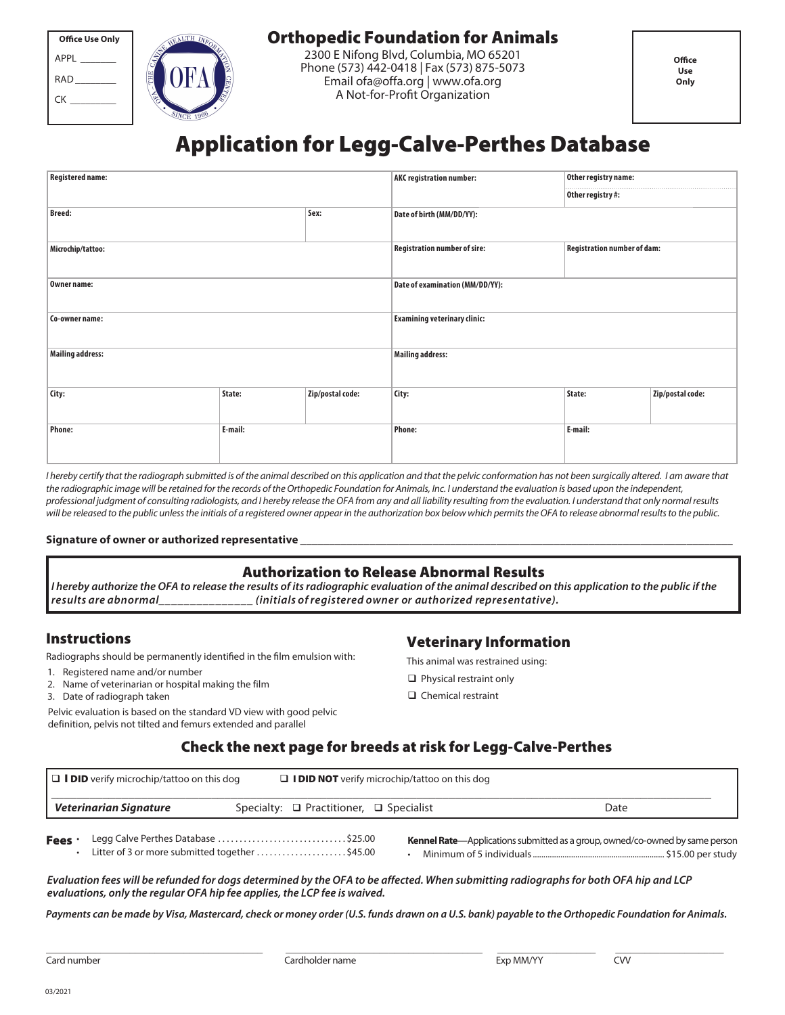| <b>Office Use Only</b> |  |  |  |  |
|------------------------|--|--|--|--|
| APPI                   |  |  |  |  |
| RAD                    |  |  |  |  |
| CК                     |  |  |  |  |



## Orthopedic Foundation for Animals

2300 E Nifong Blvd, Columbia, MO 65201 Phone (573) 442-0418 | Fax (573) 875-5073 Email ofa@offa.org | www.ofa.org A Not-for-Profit Organization

# Application for Legg-Calve-Perthes Database

| <b>Registered name:</b> |         |                  | <b>AKC registration number:</b>     | Other registry name:               |                  |  |
|-------------------------|---------|------------------|-------------------------------------|------------------------------------|------------------|--|
|                         |         |                  |                                     | Other registry #:                  |                  |  |
| <b>Breed:</b><br>Sex:   |         |                  | Date of birth (MM/DD/YY):           |                                    |                  |  |
| Microchip/tattoo:       |         |                  | <b>Registration number of sire:</b> | <b>Registration number of dam:</b> |                  |  |
| Owner name:             |         |                  | Date of examination (MM/DD/YY):     |                                    |                  |  |
| Co-owner name:          |         |                  | <b>Examining veterinary clinic:</b> |                                    |                  |  |
| <b>Mailing address:</b> |         |                  | <b>Mailing address:</b>             |                                    |                  |  |
| City:                   | State:  | Zip/postal code: | City:                               | State:                             | Zip/postal code: |  |
| <b>Phone:</b>           | E-mail: |                  | <b>Phone:</b>                       | E-mail:                            |                  |  |

I hereby certify that the radiograph submitted is of the animal described on this application and that the pelvic conformation has not been surgically altered. I am aware that the radiographic image will be retained for the records of the Orthopedic Foundation for Animals, Inc. I understand the evaluation is based upon the independent, professional judgment of consulting radiologists, and I hereby release the OFA from any and all liability resulting from the evaluation. I understand that only normal results will be released to the public unless the initials of a registered owner appear in the authorization box below which permits the OFA to release abnormal results to the public.

#### Signature of owner or authorized representative

#### Authorization to Release Abnormal Results

**I hereby authorize the OFA to release the results of its radiographic evaluation of the animal described on this application to the public if the results are abnormal\_\_\_\_\_\_\_\_\_\_\_\_\_\_\_ (initials of registered owner or authorized representative).**

## Instructions

Radiographs should be permanently identified in the film emulsion with:

- 1. Registered name and/or number
- 2. Name of veterinarian or hospital making the film

\_\_\_\_\_\_\_\_\_\_\_\_\_\_\_\_\_\_\_\_\_\_\_\_\_\_\_\_\_\_\_\_\_\_\_\_\_\_\_\_\_\_\_\_

3. Date of radiograph taken

Pelvic evaluation is based on the standard VD view with good pelvic definition, pelvis not tilted and femurs extended and parallel

## Veterinary Information

This animal was restrained using:

- $\Box$  Physical restraint only
- $\Box$  Chemical restraint

#### Check the next page for breeds at risk for Legg-Calve-Perthes

|        | $\Box$ <b>I DID</b> verify microchip/tattoo on this dog |                                                                                       | $\Box$ <b>I DID NOT</b> verify microchip/tattoo on this dog |                                                                                      |
|--------|---------------------------------------------------------|---------------------------------------------------------------------------------------|-------------------------------------------------------------|--------------------------------------------------------------------------------------|
|        | Veterinarian Signature                                  | Specialty: $\Box$ Practitioner, $\Box$ Specialist                                     |                                                             | Date                                                                                 |
| Fees . |                                                         | Legg Calve Perthes Database \$25.00<br>Litter of 3 or more submitted together \$45.00 |                                                             | <b>Kennel Rate</b> —Applications submitted as a group, owned/co-owned by same person |

**Evaluation fees will be refunded for dogs determined by the OFA to be affected. When submitting radiographs for both OFA hip and LCP evaluations, only the regular OFA hip fee applies, the LCP fee is waived.**

**Payments can be made by Visa, Mastercard, check or money order (U.S. funds drawn on a U.S. bank) payable to the Orthopedic Foundation for Animals.**

Card number